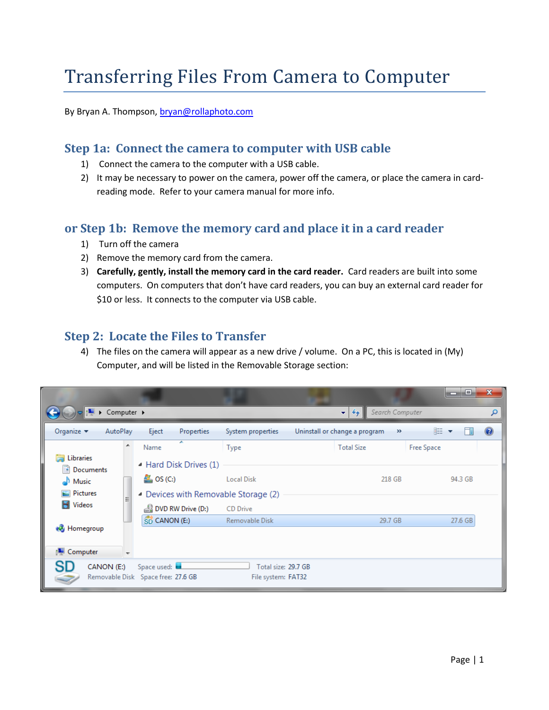# Transferring Files From Camera to Computer

By Bryan A. Thompson, [bryan@rollaphoto.com](mailto:bryan@rollaphoto.com)

#### **Step 1a: Connect the camera to computer with USB cable**

- 1) Connect the camera to the computer with a USB cable.
- 2) It may be necessary to power on the camera, power off the camera, or place the camera in cardreading mode. Refer to your camera manual for more info.

#### **or Step 1b: Remove the memory card and place it in a card reader**

- 1) Turn off the camera
- 2) Remove the memory card from the camera.
- 3) **Carefully, gently, install the memory card in the card reader.** Card readers are built into some computers. On computers that don't have card readers, you can buy an external card reader for \$10 or less. It connects to the computer via USB cable.

## **Step 2: Locate the Files to Transfer**

4) The files on the camera will appear as a new drive / volume. On a PC, this is located in (My) Computer, and will be listed in the Removable Storage section:

|                                            |                                                                                     |                                           |                                        | $\mathbf{x}$<br>ا کار د |
|--------------------------------------------|-------------------------------------------------------------------------------------|-------------------------------------------|----------------------------------------|-------------------------|
| $\triangleright$ Computer $\triangleright$ |                                                                                     |                                           | Search Computer<br>✦<br>$\mathbf{v}$   | م                       |
| Organize $\blacktriangledown$<br>AutoPlay  | Eject<br>Properties                                                                 | System properties                         | Uninstall or change a program<br>$\gg$ | Ø<br>胆 ▼                |
| ▴<br>ħ<br>Libraries<br>B<br>Documents      | ≖<br>Name<br>▲ Hard Disk Drives (1)                                                 | Type                                      | <b>Total Size</b>                      | <b>Free Space</b>       |
| Music<br>Pictures<br>Ξ                     | $\frac{d\mathbf{r}}{d\mathbf{r}}$ , OS (C:)<br>- Devices with Removable Storage (2) | <b>Local Disk</b>                         | 218 GB                                 | 94.3 GB                 |
| Videos                                     | DVD RW Drive (D:)                                                                   | <b>CD</b> Drive                           |                                        |                         |
| <b>R</b> Homegroup                         | SD CANON (E:)                                                                       | Removable Disk                            | 29.7 GB                                | 27.6 GB                 |
| <b>I</b> Computer                          |                                                                                     |                                           |                                        |                         |
| SD<br>CANON (E:)                           | Space used:<br>Removable Disk Space free: 27.6 GB                                   | Total size: 29.7 GB<br>File system: FAT32 |                                        |                         |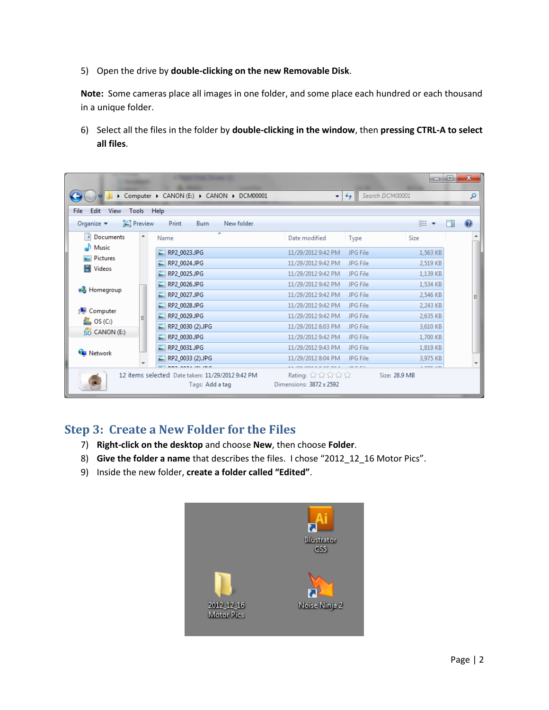5) Open the drive by **double-clicking on the new Removable Disk**.

**Note:** Some cameras place all images in one folder, and some place each hundred or each thousand in a unique folder.

6) Select all the files in the folder by **double-clicking in the window**, then **pressing CTRL-A to select all files**.

|                                                                  |   |                                                                                             |                                          | U                                     | ▣ | $\mathbf{x}$   |
|------------------------------------------------------------------|---|---------------------------------------------------------------------------------------------|------------------------------------------|---------------------------------------|---|----------------|
|                                                                  |   | Computer > CANON (E:) > CANON > DCM00001                                                    | $\ddotmark$<br>$\mathbf{v}$              | Search DCM00001                       |   | م              |
| File<br>Edit<br>View<br>Tools                                    |   | Help                                                                                        |                                          |                                       |   |                |
| $\Box$ Preview<br>Organize $\blacktriangledown$                  |   | Print<br>Burn<br>New folder                                                                 |                                          | 脂 ▼                                   |   | $\circledcirc$ |
| P<br>Documents                                                   | ┻ | ┻<br>Name                                                                                   | Date modified<br>Type                    | Size                                  |   | ۰              |
| Music                                                            |   | RP2_0023.JPG                                                                                | 11/29/2012 9:42 PM                       | JPG File<br>1,563 KB                  |   |                |
| Pictures                                                         |   | RP2_0024.JPG                                                                                | 11/29/2012 9:42 PM                       | JPG File<br>2,519 KB                  |   |                |
| Videos                                                           |   | RP2 0025.JPG<br>×                                                                           | 11/29/2012 9:42 PM                       | JPG File<br>1,139 KB                  |   | ≣              |
| <b>R</b> Homegroup                                               |   | RP2 0026.JPG                                                                                | 11/29/2012 9:42 PM                       | JPG File<br>1,534 KB                  |   |                |
|                                                                  |   | RP2_0027.JPG<br>▬                                                                           | 11/29/2012 9:42 PM                       | JPG File<br>2,546 KB                  |   |                |
|                                                                  |   | RP2 0028.JPG                                                                                | 11/29/2012 9:42 PM                       | JPG File<br>2,243 KB                  |   |                |
| Computer<br>التكن<br>$\frac{d\mathbf{r}}{d\mathbf{r}}$ , OS (C:) |   | RP2 0029.JPG<br>圖                                                                           | 11/29/2012 9:42 PM                       | JPG File<br>2,635 KB                  |   |                |
| SD CANON (E:)                                                    |   | RP2 0030 (2) JPG                                                                            | 11/29/2012 8:03 PM                       | JPG File<br>3,610 KB                  |   |                |
|                                                                  |   | RP2_0030.JPG                                                                                | 11/29/2012 9:42 PM                       | JPG File<br>1,700 KB                  |   |                |
| <b>W</b> Network                                                 |   | RP2_0031.JPG                                                                                | 11/29/2012 9:43 PM                       | JPG File<br>1,819 KB                  |   |                |
|                                                                  |   | RP2 0033 (2) JPG                                                                            | 11/29/2012 8:04 PM                       | JPG File<br>3.975 KB                  |   |                |
|                                                                  |   | <b>BBS ASSAMENTS</b><br>12 items selected Date taken: 11/29/2012 9:42 PM<br>Tags: Add a tag | Rating: ななななな<br>Dimensions: 3872 x 2592 | <b>Communication</b><br>Size: 28.9 MB |   |                |

## **Step 3: Create a New Folder for the Files**

- 7) **Right-click on the desktop** and choose **New**, then choose **Folder**.
- 8) **Give the folder a name** that describes the files. I chose "2012\_12\_16 Motor Pics".
- 9) Inside the new folder, **create a folder called "Edited"**.